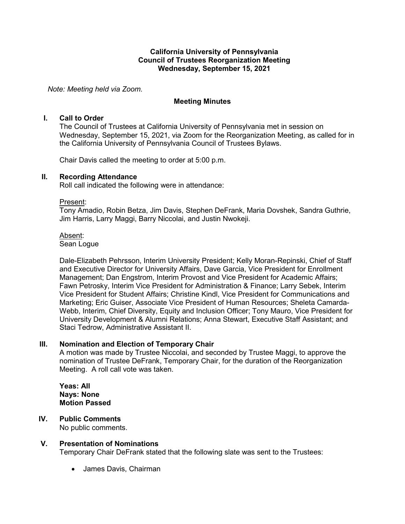## **California University of Pennsylvania Council of Trustees Reorganization Meeting Wednesday, September 15, 2021**

*Note: Meeting held via Zoom.*

## **Meeting Minutes**

### **I. Call to Order**

The Council of Trustees at California University of Pennsylvania met in session on Wednesday, September 15, 2021, via Zoom for the Reorganization Meeting, as called for in the California University of Pennsylvania Council of Trustees Bylaws.

Chair Davis called the meeting to order at 5:00 p.m.

### **II. Recording Attendance**

Roll call indicated the following were in attendance:

#### Present:

Tony Amadio, Robin Betza, Jim Davis, Stephen DeFrank, Maria Dovshek, Sandra Guthrie, Jim Harris, Larry Maggi, Barry Niccolai, and Justin Nwokeji.

#### Absent:

Sean Logue

Dale-Elizabeth Pehrsson, Interim University President; Kelly Moran-Repinski, Chief of Staff and Executive Director for University Affairs, Dave Garcia, Vice President for Enrollment Management; Dan Engstrom, Interim Provost and Vice President for Academic Affairs; Fawn Petrosky, Interim Vice President for Administration & Finance; Larry Sebek, Interim Vice President for Student Affairs; Christine Kindl, Vice President for Communications and Marketing; Eric Guiser, Associate Vice President of Human Resources; Sheleta Camarda-Webb, Interim, Chief Diversity, Equity and Inclusion Officer; Tony Mauro, Vice President for University Development & Alumni Relations; Anna Stewart, Executive Staff Assistant; and Staci Tedrow, Administrative Assistant II.

# **III. Nomination and Election of Temporary Chair**

A motion was made by Trustee Niccolai, and seconded by Trustee Maggi, to approve the nomination of Trustee DeFrank, Temporary Chair, for the duration of the Reorganization Meeting. A roll call vote was taken.

**Yeas: All Nays: None Motion Passed**

**IV. Public Comments** No public comments.

#### **V. Presentation of Nominations**

Temporary Chair DeFrank stated that the following slate was sent to the Trustees:

• James Davis, Chairman